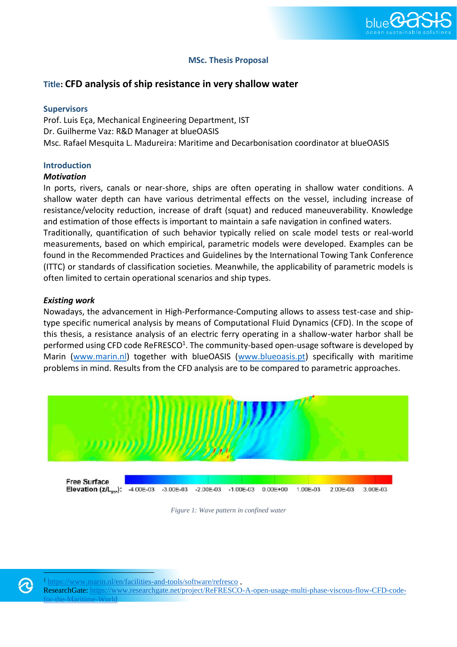

# **MSc. Thesis Proposal**

# **Title: CFD analysis of ship resistance in very shallow water**

### **Supervisors**

Prof. Luis Eça, Mechanical Engineering Department, IST Dr. Guilherme Vaz: R&D Manager at blueOASIS Msc. Rafael Mesquita L. Madureira: Maritime and Decarbonisation coordinator at blueOASIS

# **Introduction**

#### *Motivation*

In ports, rivers, canals or near-shore, ships are often operating in shallow water conditions. A shallow water depth can have various detrimental effects on the vessel, including increase of resistance/velocity reduction, increase of draft (squat) and reduced maneuverability. Knowledge and estimation of those effects is important to maintain a safe navigation in confined waters.

Traditionally, quantification of such behavior typically relied on scale model tests or real-world measurements, based on which empirical, parametric models were developed. Examples can be found in the Recommended Practices and Guidelines by the International Towing Tank Conference (ITTC) or standards of classification societies. Meanwhile, the applicability of parametric models is often limited to certain operational scenarios and ship types.

#### *Existing work*

Nowadays, the advancement in High-Performance-Computing allows to assess test-case and shiptype specific numerical analysis by means of Computational Fluid Dynamics (CFD). In the scope of this thesis, a resistance analysis of an electric ferry operating in a shallow-water harbor shall be performed using CFD code ReFRESCO<sup>1</sup>. The community-based open-usage software is developed by Marin [\(www.marin.nl\)](http://www.marin.nl/) together with blueOASIS [\(www.blueoasis.pt\)](http://www.blueoasis.pt/) specifically with maritime problems in mind. Results from the CFD analysis are to be compared to parametric approaches.



*Figure 1: Wave pattern in confined water*

<https://www.marin.nl/en/facilities-and-tools/software/refresco>,

ResearchGate: [https://www.researchgate.net/project/ReFRESCO-A-open-usage-multi-phase-viscous-flow-CFD-code](https://www.researchgate.net/project/ReFRESCO-A-open-usage-multi-phase-viscous-flow-CFD-code-for-the-Maritime-World)[for-the-Maritime-World](https://www.researchgate.net/project/ReFRESCO-A-open-usage-multi-phase-viscous-flow-CFD-code-for-the-Maritime-World)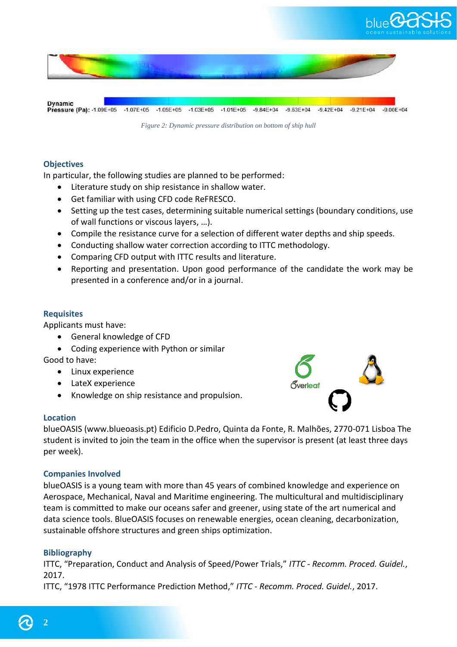

*Figure 2: Dynamic pressure distribution on bottom of ship hull*

# **Objectives**

In particular, the following studies are planned to be performed:

- Literature study on ship resistance in shallow water.
- Get familiar with using CFD code ReFRESCO.
- Setting up the test cases, determining suitable numerical settings (boundary conditions, use of wall functions or viscous layers, …).
- Compile the resistance curve for a selection of different water depths and ship speeds.
- Conducting shallow water correction according to ITTC methodology.
- Comparing CFD output with ITTC results and literature.
- Reporting and presentation. Upon good performance of the candidate the work may be presented in a conference and/or in a journal.

# **Requisites**

Applicants must have:

- General knowledge of CFD
- Coding experience with Python or similar

Good to have:

- Linux experience
- LateX experience
- Knowledge on ship resistance and propulsion.

# **Location**

blueOASIS (www.blueoasis.pt) Edificio D.Pedro, Quinta da Fonte, R. Malhões, 2770-071 Lisboa The student is invited to join the team in the office when the supervisor is present (at least three days per week).

*T*verleaf

# **Companies Involved**

blueOASIS is a young team with more than 45 years of combined knowledge and experience on Aerospace, Mechanical, Naval and Maritime engineering. The multicultural and multidisciplinary team is committed to make our oceans safer and greener, using state of the art numerical and data science tools. BlueOASIS focuses on renewable energies, ocean cleaning, decarbonization, sustainable offshore structures and green ships optimization.

# **Bibliography**

ITTC, "Preparation, Conduct and Analysis of Speed/Power Trials," *ITTC - Recomm. Proced. Guidel.*, 2017.

ITTC, "1978 ITTC Performance Prediction Method," *ITTC - Recomm. Proced. Guidel.*, 2017.

**2**